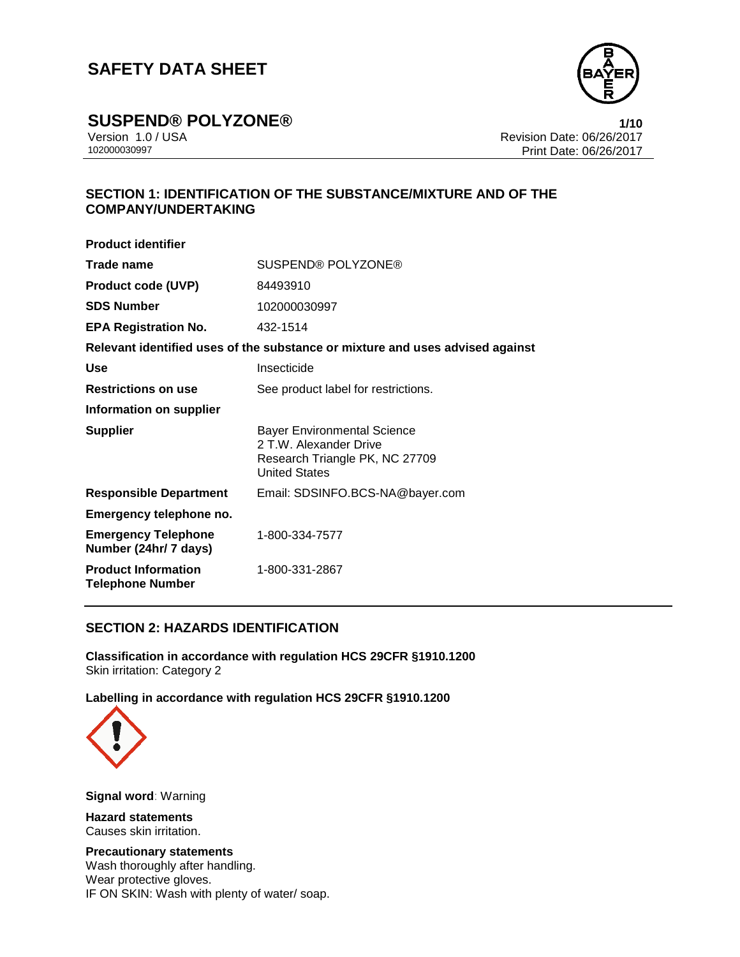

**SUSPEND® POLYZONE® 1/10**

Version 1.0 / USA Revision Date: 06/26/2017<br>102000030997 Print Date: 06/26/2017 Print Date: 06/26/2017

## **SECTION 1: IDENTIFICATION OF THE SUBSTANCE/MIXTURE AND OF THE COMPANY/UNDERTAKING**

| <b>Product identifier</b>                                                     |                                                                                                                 |  |
|-------------------------------------------------------------------------------|-----------------------------------------------------------------------------------------------------------------|--|
| Trade name                                                                    | SUSPEND® POLYZONE®                                                                                              |  |
| <b>Product code (UVP)</b>                                                     | 84493910                                                                                                        |  |
| <b>SDS Number</b>                                                             | 102000030997                                                                                                    |  |
| <b>EPA Registration No.</b>                                                   | 432-1514                                                                                                        |  |
| Relevant identified uses of the substance or mixture and uses advised against |                                                                                                                 |  |
| Use                                                                           | Insecticide                                                                                                     |  |
| <b>Restrictions on use</b>                                                    | See product label for restrictions.                                                                             |  |
| Information on supplier                                                       |                                                                                                                 |  |
| <b>Supplier</b>                                                               | Bayer Environmental Science<br>2 T.W. Alexander Drive<br>Research Triangle PK, NC 27709<br><b>United States</b> |  |
| <b>Responsible Department</b>                                                 | Email: SDSINFO.BCS-NA@bayer.com                                                                                 |  |
| Emergency telephone no.                                                       |                                                                                                                 |  |
| <b>Emergency Telephone</b><br>Number (24hr/ 7 days)                           | 1-800-334-7577                                                                                                  |  |
| <b>Product Information</b><br><b>Telephone Number</b>                         | 1-800-331-2867                                                                                                  |  |

## **SECTION 2: HAZARDS IDENTIFICATION**

**Classification in accordance with regulation HCS 29CFR §1910.1200** Skin irritation: Category 2

**Labelling in accordance with regulation HCS 29CFR §1910.1200**



**Signal word**: Warning

**Hazard statements** Causes skin irritation.

**Precautionary statements** Wash thoroughly after handling. Wear protective gloves. IF ON SKIN: Wash with plenty of water/ soap.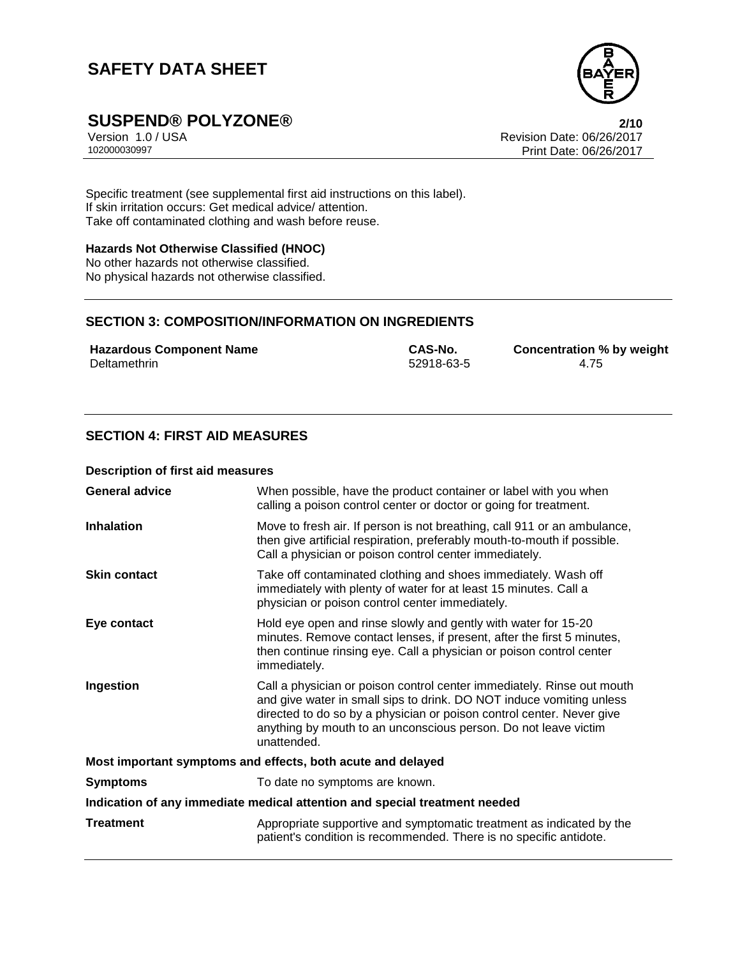

# **SUSPEND® POLYZONE®**<br>Version 1.0 / USA **2/10**<br>Revision Date: 06/26/2017

Version 1.0 / USA Revision Date: 06/26/2017<br>102000030997 Print Date: 06/26/2017 Print Date: 06/26/2017

Specific treatment (see supplemental first aid instructions on this label). If skin irritation occurs: Get medical advice/ attention. Take off contaminated clothing and wash before reuse.

#### **Hazards Not Otherwise Classified (HNOC)**

No other hazards not otherwise classified. No physical hazards not otherwise classified.

## **SECTION 3: COMPOSITION/INFORMATION ON INGREDIENTS**

**Hazardous Component Name CAS-No. Concentration % by weight** Deltamethrin 52918-63-5 4.75

**SECTION 4: FIRST AID MEASURES**

#### **Description of first aid measures**

| <b>General advice</b>                                                      | When possible, have the product container or label with you when<br>calling a poison control center or doctor or going for treatment.                                                                                                                                                                     |  |
|----------------------------------------------------------------------------|-----------------------------------------------------------------------------------------------------------------------------------------------------------------------------------------------------------------------------------------------------------------------------------------------------------|--|
| <b>Inhalation</b>                                                          | Move to fresh air. If person is not breathing, call 911 or an ambulance,<br>then give artificial respiration, preferably mouth-to-mouth if possible.<br>Call a physician or poison control center immediately.                                                                                            |  |
| <b>Skin contact</b>                                                        | Take off contaminated clothing and shoes immediately. Wash off<br>immediately with plenty of water for at least 15 minutes. Call a<br>physician or poison control center immediately.                                                                                                                     |  |
| Eye contact                                                                | Hold eye open and rinse slowly and gently with water for 15-20<br>minutes. Remove contact lenses, if present, after the first 5 minutes,<br>then continue rinsing eye. Call a physician or poison control center<br>immediately.                                                                          |  |
| Ingestion                                                                  | Call a physician or poison control center immediately. Rinse out mouth<br>and give water in small sips to drink. DO NOT induce vomiting unless<br>directed to do so by a physician or poison control center. Never give<br>anything by mouth to an unconscious person. Do not leave victim<br>unattended. |  |
| Most important symptoms and effects, both acute and delayed                |                                                                                                                                                                                                                                                                                                           |  |
| <b>Symptoms</b>                                                            | To date no symptoms are known.                                                                                                                                                                                                                                                                            |  |
| Indication of any immediate medical attention and special treatment needed |                                                                                                                                                                                                                                                                                                           |  |
| Treatment                                                                  | Appropriate supportive and symptomatic treatment as indicated by the<br>patient's condition is recommended. There is no specific antidote.                                                                                                                                                                |  |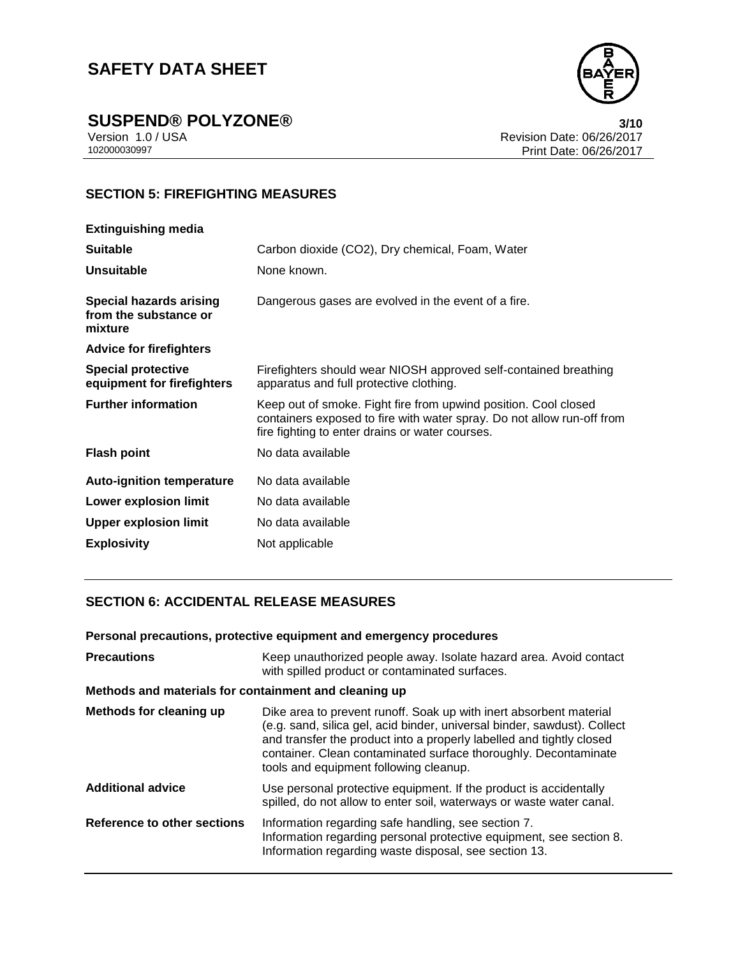

**SUSPEND® POLYZONE®**<br>Version 1.0 / USA **3/10**<br>Revision Date: 06/26/2017

Version 1.0 / USA Revision Date: 06/26/2017<br>102000030997<br>Print Date: 06/26/2017 Print Date: 06/26/2017

## **SECTION 5: FIREFIGHTING MEASURES**

| <b>Extinguishing media</b>                                         |                                                                                                                                                                                              |
|--------------------------------------------------------------------|----------------------------------------------------------------------------------------------------------------------------------------------------------------------------------------------|
| <b>Suitable</b>                                                    | Carbon dioxide (CO2), Dry chemical, Foam, Water                                                                                                                                              |
| <b>Unsuitable</b>                                                  | None known.                                                                                                                                                                                  |
| <b>Special hazards arising</b><br>from the substance or<br>mixture | Dangerous gases are evolved in the event of a fire.                                                                                                                                          |
| <b>Advice for firefighters</b>                                     |                                                                                                                                                                                              |
| <b>Special protective</b><br>equipment for firefighters            | Firefighters should wear NIOSH approved self-contained breathing<br>apparatus and full protective clothing.                                                                                  |
| <b>Further information</b>                                         | Keep out of smoke. Fight fire from upwind position. Cool closed<br>containers exposed to fire with water spray. Do not allow run-off from<br>fire fighting to enter drains or water courses. |
| <b>Flash point</b>                                                 | No data available                                                                                                                                                                            |
| <b>Auto-ignition temperature</b>                                   | No data available                                                                                                                                                                            |
| <b>Lower explosion limit</b>                                       | No data available                                                                                                                                                                            |
| <b>Upper explosion limit</b>                                       | No data available                                                                                                                                                                            |
| <b>Explosivity</b>                                                 | Not applicable                                                                                                                                                                               |

## **SECTION 6: ACCIDENTAL RELEASE MEASURES**

#### **Personal precautions, protective equipment and emergency procedures**

| <b>Precautions</b>                                    | Keep unauthorized people away. Isolate hazard area. Avoid contact<br>with spilled product or contaminated surfaces.                                                                                                                                                                                                                 |
|-------------------------------------------------------|-------------------------------------------------------------------------------------------------------------------------------------------------------------------------------------------------------------------------------------------------------------------------------------------------------------------------------------|
| Methods and materials for containment and cleaning up |                                                                                                                                                                                                                                                                                                                                     |
| Methods for cleaning up                               | Dike area to prevent runoff. Soak up with inert absorbent material<br>(e.g. sand, silica gel, acid binder, universal binder, sawdust). Collect<br>and transfer the product into a properly labelled and tightly closed<br>container. Clean contaminated surface thoroughly. Decontaminate<br>tools and equipment following cleanup. |
| <b>Additional advice</b>                              | Use personal protective equipment. If the product is accidentally<br>spilled, do not allow to enter soil, waterways or waste water canal.                                                                                                                                                                                           |
| Reference to other sections                           | Information regarding safe handling, see section 7.<br>Information regarding personal protective equipment, see section 8.<br>Information regarding waste disposal, see section 13.                                                                                                                                                 |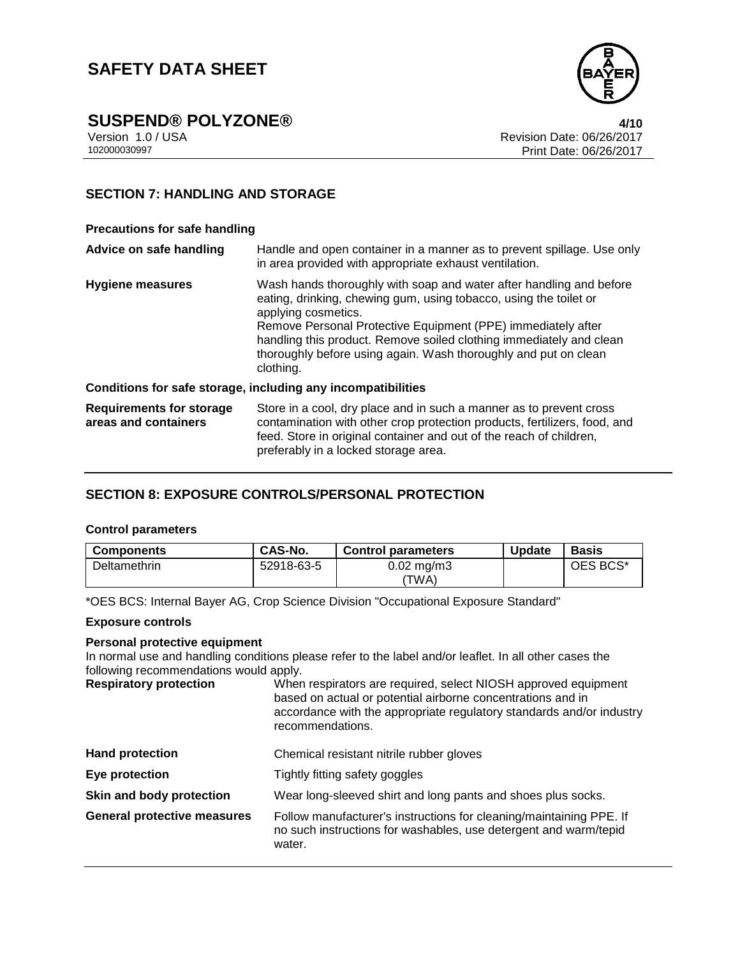

# **SUSPEND® POLYZONE® 4/10**

Version 1.0 / USA Revision Date: 06/26/2017<br>102000030997 Print Date: 06/26/2017 Print Date: 06/26/2017

## **SECTION 7: HANDLING AND STORAGE**

#### **Precautions for safe handling**

| Advice on safe handling                                 | Handle and open container in a manner as to prevent spillage. Use only<br>in area provided with appropriate exhaust ventilation.                                                                                                                                                                                                                                                       |
|---------------------------------------------------------|----------------------------------------------------------------------------------------------------------------------------------------------------------------------------------------------------------------------------------------------------------------------------------------------------------------------------------------------------------------------------------------|
| <b>Hygiene measures</b>                                 | Wash hands thoroughly with soap and water after handling and before<br>eating, drinking, chewing gum, using tobacco, using the toilet or<br>applying cosmetics.<br>Remove Personal Protective Equipment (PPE) immediately after<br>handling this product. Remove soiled clothing immediately and clean<br>thoroughly before using again. Wash thoroughly and put on clean<br>clothing. |
|                                                         | Conditions for safe storage, including any incompatibilities                                                                                                                                                                                                                                                                                                                           |
| <b>Requirements for storage</b><br>areas and containers | Store in a cool, dry place and in such a manner as to prevent cross<br>contamination with other crop protection products, fertilizers, food, and<br>feed. Store in original container and out of the reach of children,<br>preferably in a locked storage area.                                                                                                                        |

## **SECTION 8: EXPOSURE CONTROLS/PERSONAL PROTECTION**

#### **Control parameters**

| <b>Components</b>   | <b>CAS-No.</b> | <b>Control parameters</b>       | <b>Update</b> | <b>Basis</b> |
|---------------------|----------------|---------------------------------|---------------|--------------|
| <b>Deltamethrin</b> | 52918-63-5     | $0.02 \,\mathrm{mg/m3}$<br>ΈWΑ) |               | OES BCS*     |

\*OES BCS: Internal Bayer AG, Crop Science Division "Occupational Exposure Standard"

#### **Exposure controls**

#### **Personal protective equipment**

In normal use and handling conditions please refer to the label and/or leaflet. In all other cases the following recommendations would apply.

**Respiratory protection** When respirators are required, select NIOSH approved equipment based on actual or potential airborne concentrations and in accordance with the appropriate regulatory standards and/or industry recommendations.

| <b>Hand protection</b>             | Chemical resistant nitrile rubber gloves                                                                                                          |
|------------------------------------|---------------------------------------------------------------------------------------------------------------------------------------------------|
| Eye protection                     | Tightly fitting safety goggles                                                                                                                    |
| Skin and body protection           | Wear long-sleeved shirt and long pants and shoes plus socks.                                                                                      |
| <b>General protective measures</b> | Follow manufacturer's instructions for cleaning/maintaining PPE. If<br>no such instructions for washables, use detergent and warm/tepid<br>water. |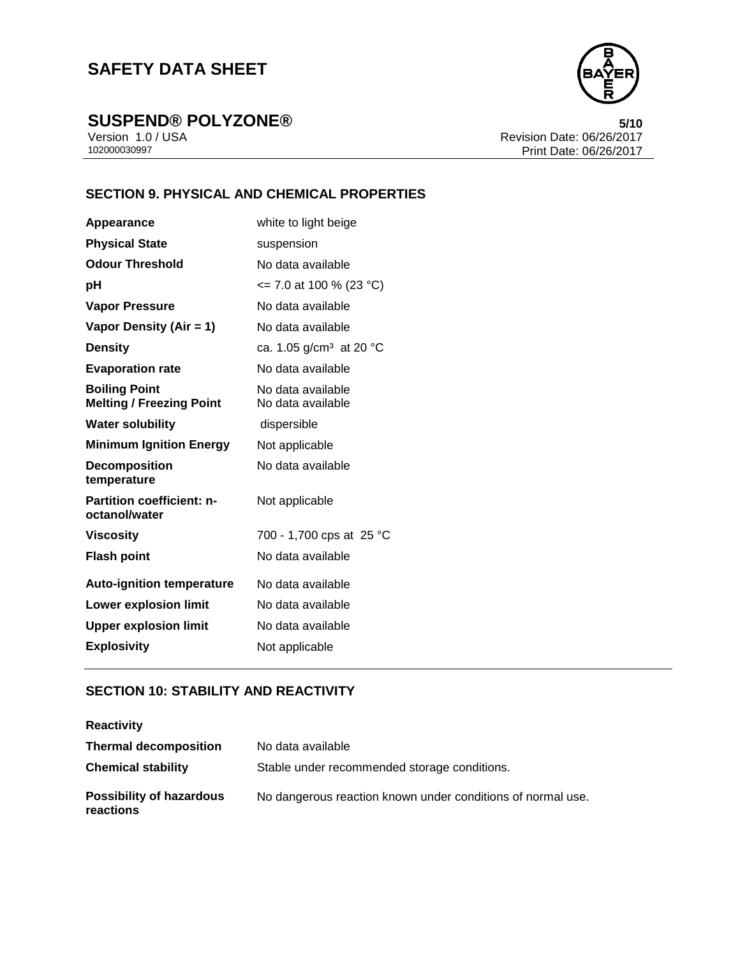

**SUSPEND® POLYZONE®**<br>Version 1.0/USA **5/10**<br>Revision Date: 06/26/2017

Version 1.0 / USA Revision Date: 06/26/2017<br>102000030997<br>Print Date: 06/26/2017 Print Date: 06/26/2017

## **SECTION 9. PHYSICAL AND CHEMICAL PROPERTIES**

| Appearance                                              | white to light beige                   |
|---------------------------------------------------------|----------------------------------------|
| <b>Physical State</b>                                   | suspension                             |
| <b>Odour Threshold</b>                                  | No data available                      |
| рH                                                      | $\le$ 7.0 at 100 % (23 °C)             |
| <b>Vapor Pressure</b>                                   | No data available                      |
| Vapor Density (Air = 1)                                 | No data available                      |
| <b>Density</b>                                          | ca. 1.05 g/cm <sup>3</sup> at 20 °C    |
| <b>Evaporation rate</b>                                 | No data available                      |
| <b>Boiling Point</b><br><b>Melting / Freezing Point</b> | No data available<br>No data available |
| <b>Water solubility</b>                                 | dispersible                            |
| <b>Minimum Ignition Energy</b>                          | Not applicable                         |
| <b>Decomposition</b><br>temperature                     | No data available                      |
| <b>Partition coefficient: n-</b><br>octanol/water       | Not applicable                         |
| <b>Viscosity</b>                                        | 700 - 1,700 cps at 25 °C               |
| <b>Flash point</b>                                      | No data available                      |
| <b>Auto-ignition temperature</b>                        | No data available                      |
| <b>Lower explosion limit</b>                            | No data available                      |
| <b>Upper explosion limit</b>                            | No data available                      |
| <b>Explosivity</b>                                      | Not applicable                         |

## **SECTION 10: STABILITY AND REACTIVITY**

| <b>Reactivity</b>                            |                                                             |
|----------------------------------------------|-------------------------------------------------------------|
| <b>Thermal decomposition</b>                 | No data available                                           |
| <b>Chemical stability</b>                    | Stable under recommended storage conditions.                |
| <b>Possibility of hazardous</b><br>reactions | No dangerous reaction known under conditions of normal use. |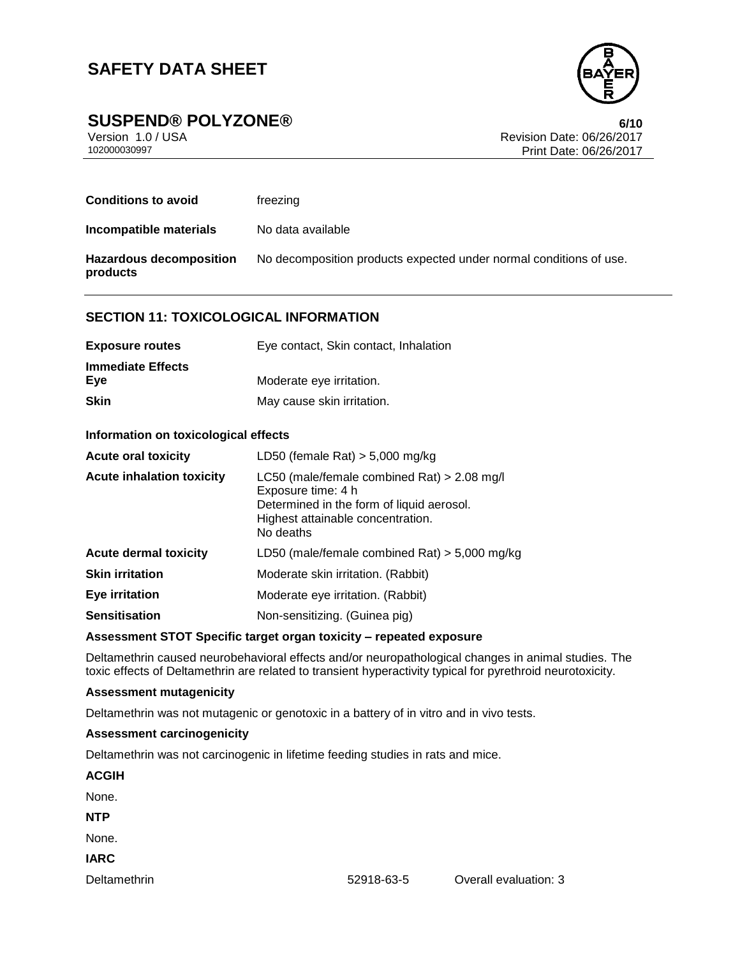

**SUSPEND® POLYZONE® 6/10**

Version 1.0 / USA Revision Date: 06/26/2017<br>102000030997 Print Date: 06/26/2017 Print Date: 06/26/2017

| <b>Conditions to avoid</b>                 | freezing                                                           |
|--------------------------------------------|--------------------------------------------------------------------|
| Incompatible materials                     | No data available                                                  |
| <b>Hazardous decomposition</b><br>products | No decomposition products expected under normal conditions of use. |

#### **SECTION 11: TOXICOLOGICAL INFORMATION**

| <b>Exposure routes</b>   | Eye contact, Skin contact, Inhalation |
|--------------------------|---------------------------------------|
| <b>Immediate Effects</b> |                                       |
| Eve                      | Moderate eye irritation.              |
| <b>Skin</b>              | May cause skin irritation.            |

#### **Information on toxicological effects**

| <b>Acute oral toxicity</b>       | LD50 (female Rat) $>$ 5,000 mg/kg                                                                                                                                  |
|----------------------------------|--------------------------------------------------------------------------------------------------------------------------------------------------------------------|
| <b>Acute inhalation toxicity</b> | LC50 (male/female combined Rat) $> 2.08$ mg/l<br>Exposure time: 4 h<br>Determined in the form of liquid aerosol.<br>Highest attainable concentration.<br>No deaths |
| <b>Acute dermal toxicity</b>     | LD50 (male/female combined Rat) $>$ 5,000 mg/kg                                                                                                                    |
| <b>Skin irritation</b>           | Moderate skin irritation. (Rabbit)                                                                                                                                 |
| <b>Eye irritation</b>            | Moderate eye irritation. (Rabbit)                                                                                                                                  |
| <b>Sensitisation</b>             | Non-sensitizing. (Guinea pig)                                                                                                                                      |

#### **Assessment STOT Specific target organ toxicity – repeated exposure**

Deltamethrin caused neurobehavioral effects and/or neuropathological changes in animal studies. The toxic effects of Deltamethrin are related to transient hyperactivity typical for pyrethroid neurotoxicity.

#### **Assessment mutagenicity**

Deltamethrin was not mutagenic or genotoxic in a battery of in vitro and in vivo tests.

#### **Assessment carcinogenicity**

Deltamethrin was not carcinogenic in lifetime feeding studies in rats and mice.

| <b>ACGIH</b> |  |  |  |
|--------------|--|--|--|
| None.        |  |  |  |
| <b>NTP</b>   |  |  |  |
| None.        |  |  |  |
| <b>IARC</b>  |  |  |  |
|              |  |  |  |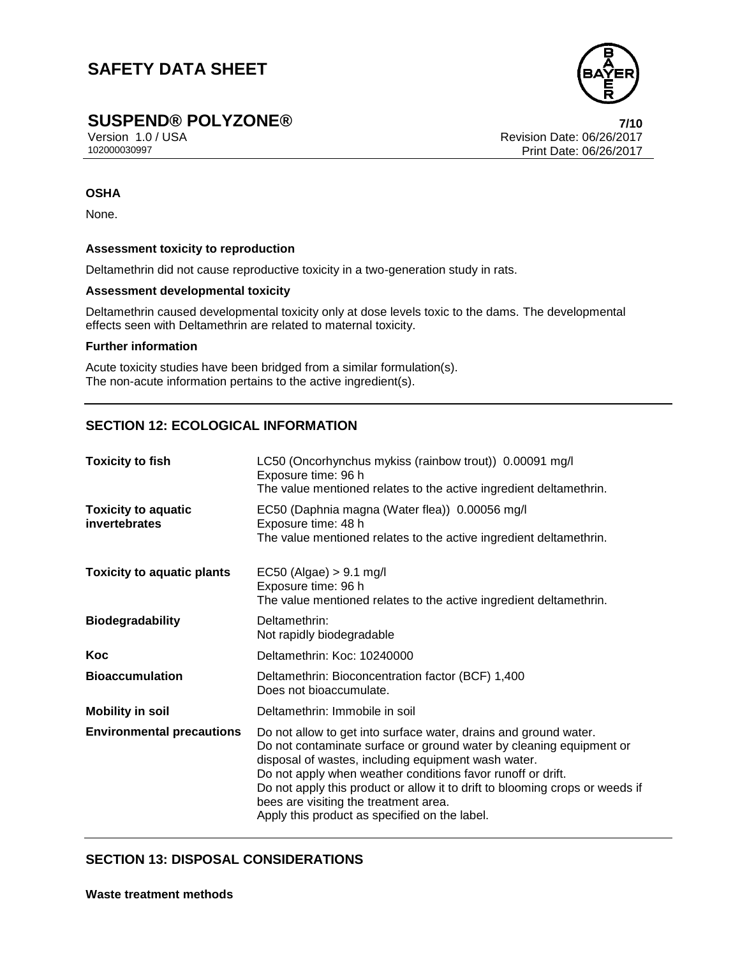

## **SUSPEND® POLYZONE® 7/10**

Version 1.0 / USA Revision Date: 06/26/2017<br>102000030997<br>Print Date: 06/26/2017 Print Date: 06/26/2017

#### **OSHA**

None.

#### **Assessment toxicity to reproduction**

Deltamethrin did not cause reproductive toxicity in a two-generation study in rats.

#### **Assessment developmental toxicity**

Deltamethrin caused developmental toxicity only at dose levels toxic to the dams. The developmental effects seen with Deltamethrin are related to maternal toxicity.

#### **Further information**

Acute toxicity studies have been bridged from a similar formulation(s). The non-acute information pertains to the active ingredient(s).

## **SECTION 12: ECOLOGICAL INFORMATION**

| <b>Toxicity to fish</b>                     | LC50 (Oncorhynchus mykiss (rainbow trout)) 0.00091 mg/l<br>Exposure time: 96 h<br>The value mentioned relates to the active ingredient deltamethrin.                                                                                                                                                                                                                                                                                    |  |  |
|---------------------------------------------|-----------------------------------------------------------------------------------------------------------------------------------------------------------------------------------------------------------------------------------------------------------------------------------------------------------------------------------------------------------------------------------------------------------------------------------------|--|--|
| <b>Toxicity to aquatic</b><br>invertebrates | EC50 (Daphnia magna (Water flea)) 0.00056 mg/l<br>Exposure time: 48 h<br>The value mentioned relates to the active ingredient deltamethrin.                                                                                                                                                                                                                                                                                             |  |  |
| <b>Toxicity to aquatic plants</b>           | $EC50$ (Algae) $> 9.1$ mg/l<br>Exposure time: 96 h<br>The value mentioned relates to the active ingredient deltamethrin.                                                                                                                                                                                                                                                                                                                |  |  |
| <b>Biodegradability</b>                     | Deltamethrin:<br>Not rapidly biodegradable                                                                                                                                                                                                                                                                                                                                                                                              |  |  |
| Koc                                         | Deltamethrin: Koc: 10240000                                                                                                                                                                                                                                                                                                                                                                                                             |  |  |
| <b>Bioaccumulation</b>                      | Deltamethrin: Bioconcentration factor (BCF) 1,400<br>Does not bioaccumulate.                                                                                                                                                                                                                                                                                                                                                            |  |  |
| <b>Mobility in soil</b>                     | Deltamethrin: Immobile in soil                                                                                                                                                                                                                                                                                                                                                                                                          |  |  |
| <b>Environmental precautions</b>            | Do not allow to get into surface water, drains and ground water.<br>Do not contaminate surface or ground water by cleaning equipment or<br>disposal of wastes, including equipment wash water.<br>Do not apply when weather conditions favor runoff or drift.<br>Do not apply this product or allow it to drift to blooming crops or weeds if<br>bees are visiting the treatment area.<br>Apply this product as specified on the label. |  |  |

### **SECTION 13: DISPOSAL CONSIDERATIONS**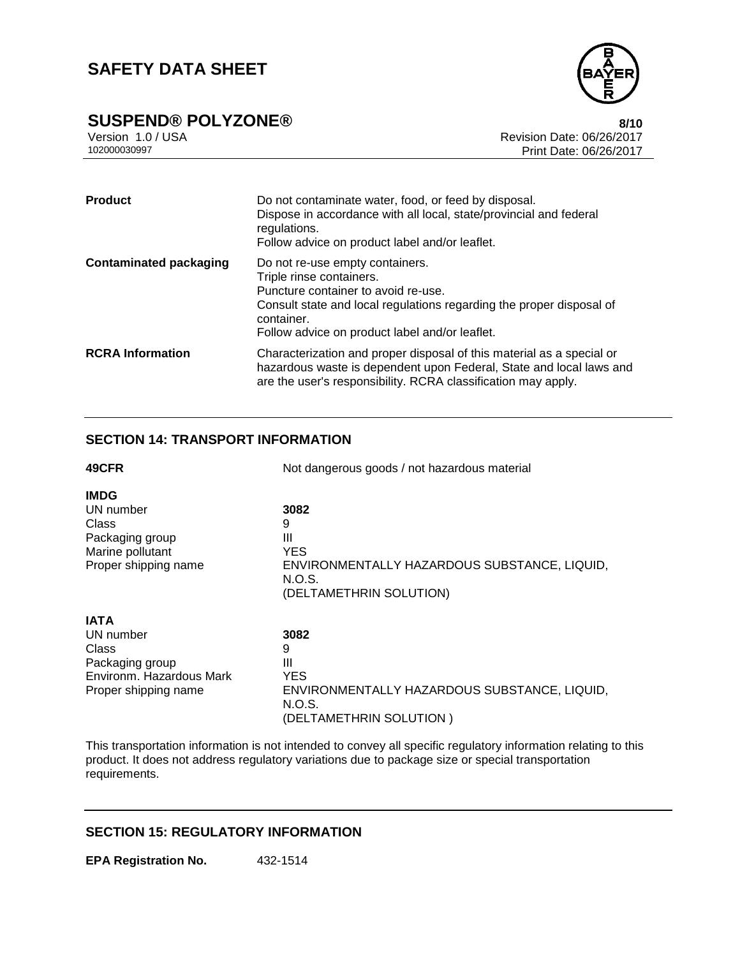

# **SUSPEND® POLYZONE®**<br>Version 1.0 / USA **8/10**<br>Revision Date: 06/26/2017

Version 1.0 / USA Revision Date: 06/26/2017<br>102000030997 Print Date: 06/26/2017 Print Date: 06/26/2017

| <b>Product</b>                | Do not contaminate water, food, or feed by disposal.<br>Dispose in accordance with all local, state/provincial and federal<br>regulations.<br>Follow advice on product label and/or leaflet.                                               |
|-------------------------------|--------------------------------------------------------------------------------------------------------------------------------------------------------------------------------------------------------------------------------------------|
| <b>Contaminated packaging</b> | Do not re-use empty containers.<br>Triple rinse containers.<br>Puncture container to avoid re-use.<br>Consult state and local regulations regarding the proper disposal of<br>container.<br>Follow advice on product label and/or leaflet. |
| <b>RCRA</b> Information       | Characterization and proper disposal of this material as a special or<br>hazardous waste is dependent upon Federal, State and local laws and<br>are the user's responsibility. RCRA classification may apply.                              |

## **SECTION 14: TRANSPORT INFORMATION**

| 49CFR                    | Not dangerous goods / not hazardous material                                      |  |  |
|--------------------------|-----------------------------------------------------------------------------------|--|--|
| <b>IMDG</b>              |                                                                                   |  |  |
| UN number                | 3082                                                                              |  |  |
| Class                    | 9                                                                                 |  |  |
| Packaging group          | Ш                                                                                 |  |  |
| Marine pollutant         | YES.                                                                              |  |  |
| Proper shipping name     | ENVIRONMENTALLY HAZARDOUS SUBSTANCE, LIQUID,<br>N.O.S.<br>(DELTAMETHRIN SOLUTION) |  |  |
| IATA                     |                                                                                   |  |  |
| UN number                | 3082                                                                              |  |  |
| Class                    | 9                                                                                 |  |  |
| Packaging group          | Ш                                                                                 |  |  |
| Environm, Hazardous Mark | <b>YES</b>                                                                        |  |  |
| Proper shipping name     | ENVIRONMENTALLY HAZARDOUS SUBSTANCE, LIQUID,<br>N.O.S.                            |  |  |
|                          | (DELTAMETHRIN SOLUTION)                                                           |  |  |

This transportation information is not intended to convey all specific regulatory information relating to this product. It does not address regulatory variations due to package size or special transportation requirements.

## **SECTION 15: REGULATORY INFORMATION**

**EPA Registration No.** 432-1514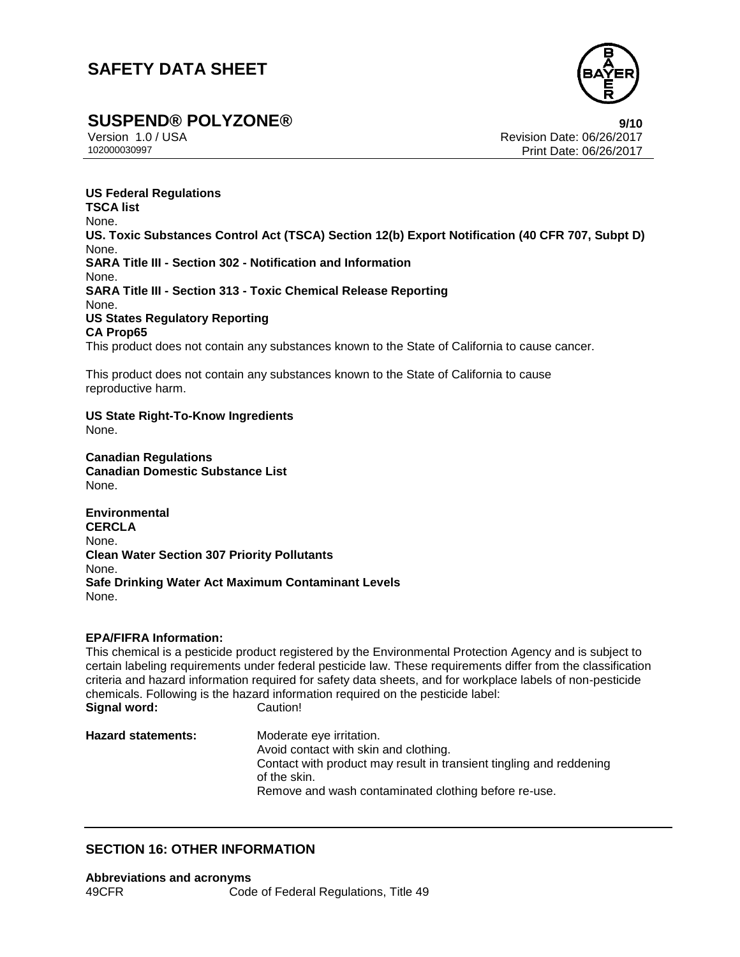

**SUSPEND® POLYZONE®**<br>Version 1.0/USA **1.0/USA POLYZONE®** 

Version 1.0 / USA Revision Date: 06/26/2017<br>102000030997 Print Date: 06/26/2017 بالمستحدث المستحدث المستحدث المستحدث المستحدث المستحدث المستحدث المستحدث Print Date: 06/26/2017

**US Federal Regulations TSCA list** None. **US. Toxic Substances Control Act (TSCA) Section 12(b) Export Notification (40 CFR 707, Subpt D)** None. **SARA Title III - Section 302 - Notification and Information** None. **SARA Title III - Section 313 - Toxic Chemical Release Reporting** None. **US States Regulatory Reporting CA Prop65** This product does not contain any substances known to the State of California to cause cancer.

This product does not contain any substances known to the State of California to cause reproductive harm.

**US State Right-To-Know Ingredients** None.

**Canadian Regulations Canadian Domestic Substance List** None.

**Environmental CERCLA** None. **Clean Water Section 307 Priority Pollutants** None. **Safe Drinking Water Act Maximum Contaminant Levels** None.

#### **EPA/FIFRA Information:**

This chemical is a pesticide product registered by the Environmental Protection Agency and is subject to certain labeling requirements under federal pesticide law. These requirements differ from the classification criteria and hazard information required for safety data sheets, and for workplace labels of non-pesticide chemicals. Following is the hazard information required on the pesticide label: **Signal word:** Caution!

**Hazard statements:** Moderate eye irritation. Avoid contact with skin and clothing. Contact with product may result in transient tingling and reddening of the skin. Remove and wash contaminated clothing before re-use.

#### **SECTION 16: OTHER INFORMATION**